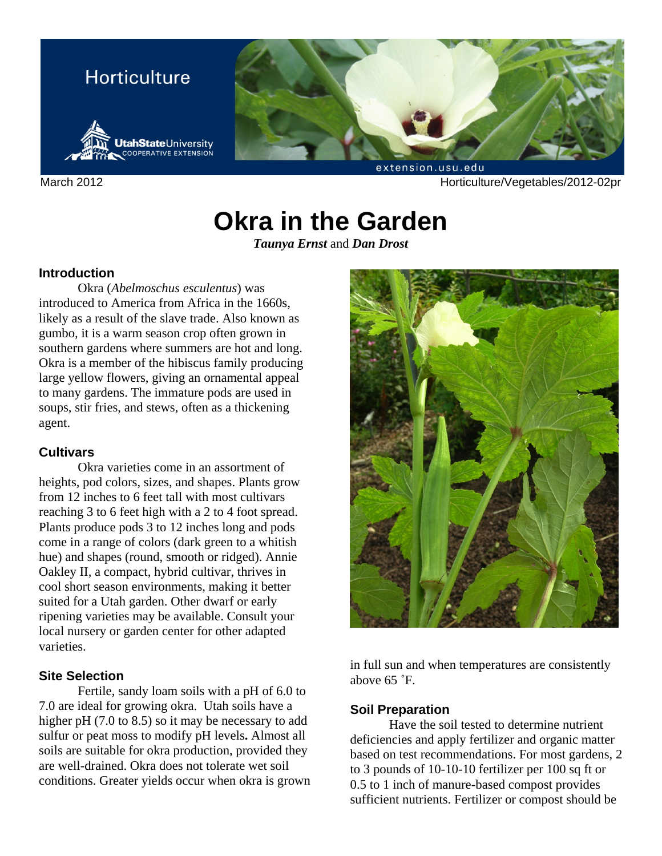

March 2012 **March 2012** Horticulture/Vegetables/2012-02pr

# **Okra in the Garden**

*Taunya Ernst* and *Dan Drost*

# **Introduction**

Okra (*Abelmoschus esculentus*) was introduced to America from Africa in the 1660s, likely as a result of the slave trade. Also known as gumbo, it is a warm season crop often grown in southern gardens where summers are hot and long. Okra is a member of the hibiscus family producing large yellow flowers, giving an ornamental appeal to many gardens. The immature pods are used in soups, stir fries, and stews, often as a thickening agent.

# **Cultivars**

Okra varieties come in an assortment of heights, pod colors, sizes, and shapes. Plants grow from 12 inches to 6 feet tall with most cultivars reaching 3 to 6 feet high with a 2 to 4 foot spread. Plants produce pods 3 to 12 inches long and pods come in a range of colors (dark green to a whitish hue) and shapes (round, smooth or ridged). Annie Oakley II, a compact, hybrid cultivar, thrives in cool short season environments, making it better suited for a Utah garden. Other dwarf or early ripening varieties may be available. Consult your local nursery or garden center for other adapted varieties.

# **Site Selection**

Fertile, sandy loam soils with a pH of 6.0 to 7.0 are ideal for growing okra. Utah soils have a higher pH (7.0 to 8.5) so it may be necessary to add sulfur or peat moss to modify pH levels**.** Almost all soils are suitable for okra production, provided they are well-drained. Okra does not tolerate wet soil conditions. Greater yields occur when okra is grown



in full sun and when temperatures are consistently above 65 ˚F.

# **Soil Preparation**

Have the soil tested to determine nutrient deficiencies and apply fertilizer and organic matter based on test recommendations. For most gardens, 2 to 3 pounds of 10-10-10 fertilizer per 100 sq ft or 0.5 to 1 inch of manure-based compost provides sufficient nutrients. Fertilizer or compost should be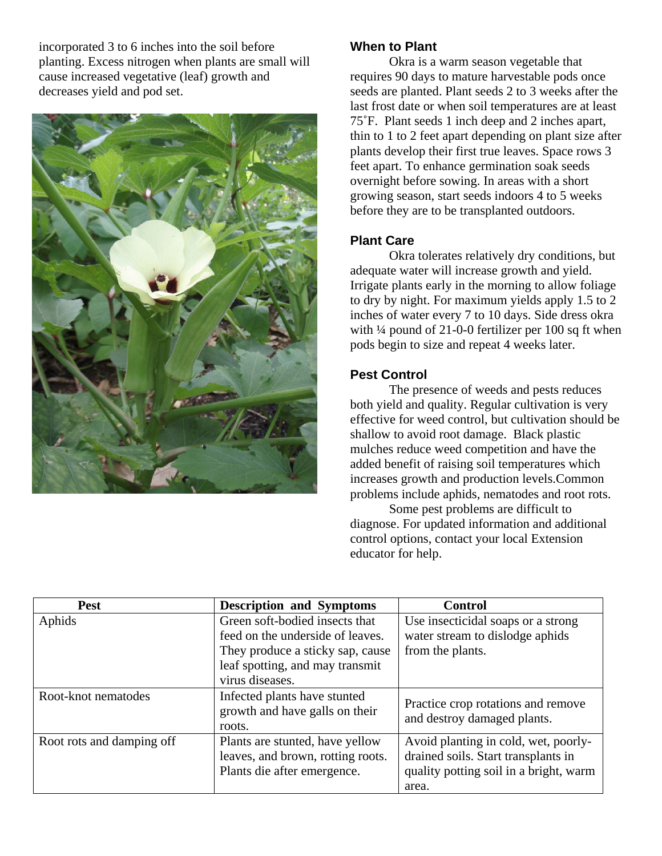incorporated 3 to 6 inches into the soil before planting. Excess nitrogen when plants are small will cause increased vegetative (leaf) growth and decreases yield and pod set.



# **When to Plant**

Okra is a warm season vegetable that requires 90 days to mature harvestable pods once seeds are planted. Plant seeds 2 to 3 weeks after the last frost date or when soil temperatures are at least 75˚F. Plant seeds 1 inch deep and 2 inches apart, thin to 1 to 2 feet apart depending on plant size after plants develop their first true leaves. Space rows 3 feet apart. To enhance germination soak seeds overnight before sowing. In areas with a short growing season, start seeds indoors 4 to 5 weeks before they are to be transplanted outdoors.

#### **Plant Care**

Okra tolerates relatively dry conditions, but adequate water will increase growth and yield. Irrigate plants early in the morning to allow foliage to dry by night. For maximum yields apply 1.5 to 2 inches of water every 7 to 10 days. Side dress okra with ¼ pound of 21-0-0 fertilizer per 100 sq ft when pods begin to size and repeat 4 weeks later.

# **Pest Control**

The presence of weeds and pests reduces both yield and quality. Regular cultivation is very effective for weed control, but cultivation should be shallow to avoid root damage. Black plastic mulches reduce weed competition and have the added benefit of raising soil temperatures which increases growth and production levels.Common problems include aphids, nematodes and root rots.

Some pest problems are difficult to diagnose. For updated information and additional control options, contact your local Extension educator for help.

| <b>Pest</b>               | <b>Description and Symptoms</b>                                                                     | <b>Control</b>                                                                                                                 |
|---------------------------|-----------------------------------------------------------------------------------------------------|--------------------------------------------------------------------------------------------------------------------------------|
| Aphids                    | Green soft-bodied insects that<br>feed on the underside of leaves.                                  | Use insecticidal soaps or a strong<br>water stream to dislodge aphids                                                          |
|                           | They produce a sticky sap, cause<br>leaf spotting, and may transmit<br>virus diseases.              | from the plants.                                                                                                               |
| Root-knot nematodes       | Infected plants have stunted<br>growth and have galls on their<br>roots.                            | Practice crop rotations and remove<br>and destroy damaged plants.                                                              |
| Root rots and damping off | Plants are stunted, have yellow<br>leaves, and brown, rotting roots.<br>Plants die after emergence. | Avoid planting in cold, wet, poorly-<br>drained soils. Start transplants in<br>quality potting soil in a bright, warm<br>area. |